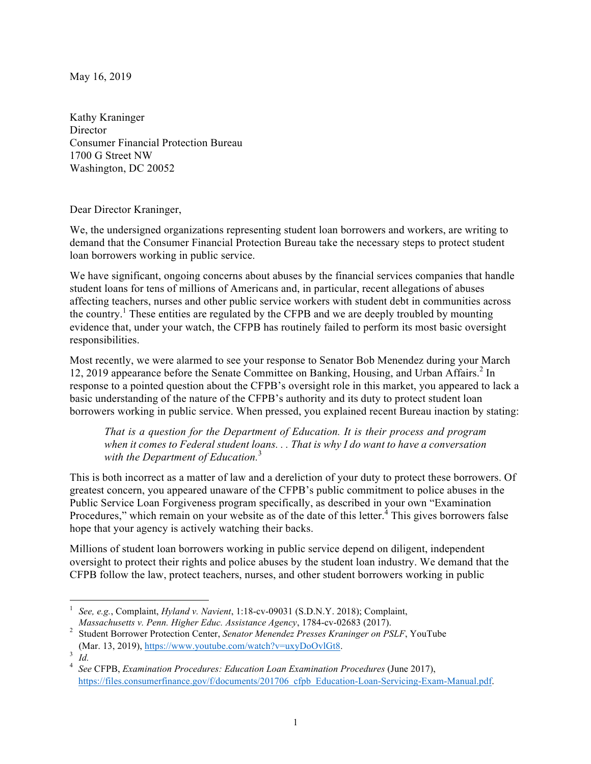May 16, 2019

Kathy Kraninger **Director** Consumer Financial Protection Bureau 1700 G Street NW Washington, DC 20052

Dear Director Kraninger,

We, the undersigned organizations representing student loan borrowers and workers, are writing to demand that the Consumer Financial Protection Bureau take the necessary steps to protect student loan borrowers working in public service.

We have significant, ongoing concerns about abuses by the financial services companies that handle student loans for tens of millions of Americans and, in particular, recent allegations of abuses affecting teachers, nurses and other public service workers with student debt in communities across the country.<sup>1</sup> These entities are regulated by the CFPB and we are deeply troubled by mounting evidence that, under your watch, the CFPB has routinely failed to perform its most basic oversight responsibilities.

Most recently, we were alarmed to see your response to Senator Bob Menendez during your March 12, 2019 appearance before the Senate Committee on Banking, Housing, and Urban Affairs.<sup>2</sup> In response to a pointed question about the CFPB's oversight role in this market, you appeared to lack a basic understanding of the nature of the CFPB's authority and its duty to protect student loan borrowers working in public service. When pressed, you explained recent Bureau inaction by stating:

*That is a question for the Department of Education. It is their process and program when it comes to Federal student loans. . . That is why I do want to have a conversation with the Department of Education.*<sup>3</sup>

This is both incorrect as a matter of law and a dereliction of your duty to protect these borrowers. Of greatest concern, you appeared unaware of the CFPB's public commitment to police abuses in the Public Service Loan Forgiveness program specifically, as described in your own "Examination Procedures," which remain on your website as of the date of this letter.<sup>4</sup> This gives borrowers false hope that your agency is actively watching their backs.

Millions of student loan borrowers working in public service depend on diligent, independent oversight to protect their rights and police abuses by the student loan industry. We demand that the CFPB follow the law, protect teachers, nurses, and other student borrowers working in public

 

See, e.g., Complaint, *Hyland v. Navient*, 1:18-cv-09031 (S.D.N.Y. 2018); Complaint, *Massachusetts v. Penn. Higher Educ. Assistance Agency*, 1784-cv-02683 (2017).

*Massachusetts v. Penn. Higher Educ. Assistance Agency*, 1784-cv-02683 (2017). 2 Student Borrower Protection Center, *Senator Menendez Presses Kraninger on PSLF*, YouTube

<sup>(</sup>Mar. 13, 2019), https://www.youtube.com/watch?v=uxyDoOvlGt8. 3 *Id.* <sup>4</sup> *See* CFPB, *Examination Procedures: Education Loan Examination Procedures* (June 2017), https://files.consumerfinance.gov/f/documents/201706\_cfpb\_Education-Loan-Servicing-Exam-Manual.pdf.